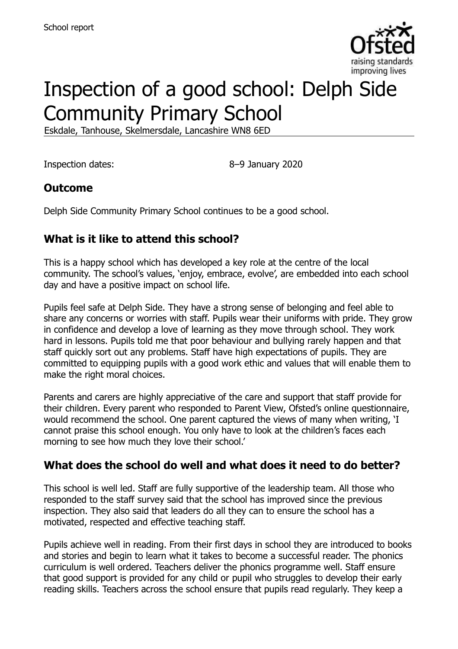

# Inspection of a good school: Delph Side Community Primary School

Eskdale, Tanhouse, Skelmersdale, Lancashire WN8 6ED

Inspection dates: 8–9 January 2020

## **Outcome**

Delph Side Community Primary School continues to be a good school.

## **What is it like to attend this school?**

This is a happy school which has developed a key role at the centre of the local community. The school's values, 'enjoy, embrace, evolve', are embedded into each school day and have a positive impact on school life.

Pupils feel safe at Delph Side. They have a strong sense of belonging and feel able to share any concerns or worries with staff. Pupils wear their uniforms with pride. They grow in confidence and develop a love of learning as they move through school. They work hard in lessons. Pupils told me that poor behaviour and bullying rarely happen and that staff quickly sort out any problems. Staff have high expectations of pupils. They are committed to equipping pupils with a good work ethic and values that will enable them to make the right moral choices.

Parents and carers are highly appreciative of the care and support that staff provide for their children. Every parent who responded to Parent View, Ofsted's online questionnaire, would recommend the school. One parent captured the views of many when writing, 'I cannot praise this school enough. You only have to look at the children's faces each morning to see how much they love their school.'

#### **What does the school do well and what does it need to do better?**

This school is well led. Staff are fully supportive of the leadership team. All those who responded to the staff survey said that the school has improved since the previous inspection. They also said that leaders do all they can to ensure the school has a motivated, respected and effective teaching staff.

Pupils achieve well in reading. From their first days in school they are introduced to books and stories and begin to learn what it takes to become a successful reader. The phonics curriculum is well ordered. Teachers deliver the phonics programme well. Staff ensure that good support is provided for any child or pupil who struggles to develop their early reading skills. Teachers across the school ensure that pupils read regularly. They keep a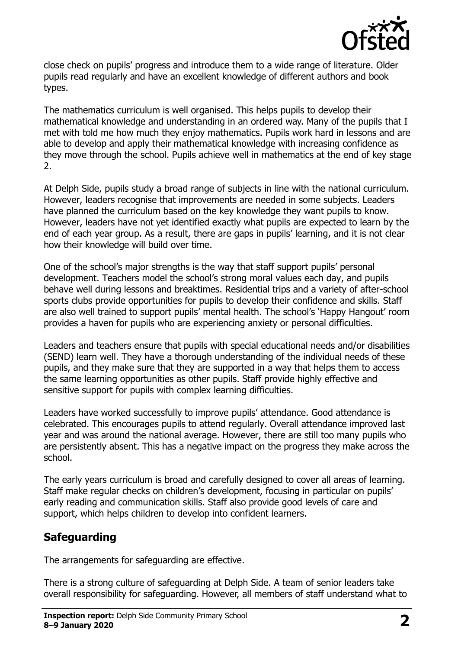

close check on pupils' progress and introduce them to a wide range of literature. Older pupils read regularly and have an excellent knowledge of different authors and book types.

The mathematics curriculum is well organised. This helps pupils to develop their mathematical knowledge and understanding in an ordered way. Many of the pupils that I met with told me how much they enjoy mathematics. Pupils work hard in lessons and are able to develop and apply their mathematical knowledge with increasing confidence as they move through the school. Pupils achieve well in mathematics at the end of key stage 2.

At Delph Side, pupils study a broad range of subjects in line with the national curriculum. However, leaders recognise that improvements are needed in some subjects. Leaders have planned the curriculum based on the key knowledge they want pupils to know. However, leaders have not yet identified exactly what pupils are expected to learn by the end of each year group. As a result, there are gaps in pupils' learning, and it is not clear how their knowledge will build over time.

One of the school's major strengths is the way that staff support pupils' personal development. Teachers model the school's strong moral values each day, and pupils behave well during lessons and breaktimes. Residential trips and a variety of after-school sports clubs provide opportunities for pupils to develop their confidence and skills. Staff are also well trained to support pupils' mental health. The school's 'Happy Hangout' room provides a haven for pupils who are experiencing anxiety or personal difficulties.

Leaders and teachers ensure that pupils with special educational needs and/or disabilities (SEND) learn well. They have a thorough understanding of the individual needs of these pupils, and they make sure that they are supported in a way that helps them to access the same learning opportunities as other pupils. Staff provide highly effective and sensitive support for pupils with complex learning difficulties.

Leaders have worked successfully to improve pupils' attendance. Good attendance is celebrated. This encourages pupils to attend regularly. Overall attendance improved last year and was around the national average. However, there are still too many pupils who are persistently absent. This has a negative impact on the progress they make across the school.

The early years curriculum is broad and carefully designed to cover all areas of learning. Staff make regular checks on children's development, focusing in particular on pupils' early reading and communication skills. Staff also provide good levels of care and support, which helps children to develop into confident learners.

## **Safeguarding**

The arrangements for safeguarding are effective.

There is a strong culture of safeguarding at Delph Side. A team of senior leaders take overall responsibility for safeguarding. However, all members of staff understand what to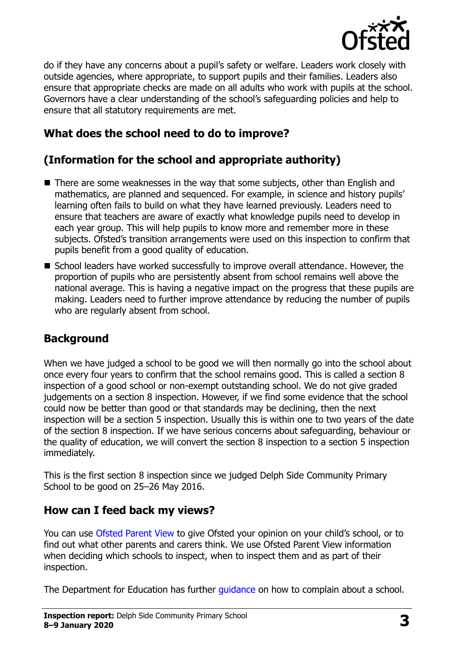

do if they have any concerns about a pupil's safety or welfare. Leaders work closely with outside agencies, where appropriate, to support pupils and their families. Leaders also ensure that appropriate checks are made on all adults who work with pupils at the school. Governors have a clear understanding of the school's safeguarding policies and help to ensure that all statutory requirements are met.

## **What does the school need to do to improve?**

## **(Information for the school and appropriate authority)**

- There are some weaknesses in the way that some subjects, other than English and mathematics, are planned and sequenced. For example, in science and history pupils' learning often fails to build on what they have learned previously. Leaders need to ensure that teachers are aware of exactly what knowledge pupils need to develop in each year group. This will help pupils to know more and remember more in these subjects. Ofsted's transition arrangements were used on this inspection to confirm that pupils benefit from a good quality of education.
- School leaders have worked successfully to improve overall attendance. However, the proportion of pupils who are persistently absent from school remains well above the national average. This is having a negative impact on the progress that these pupils are making. Leaders need to further improve attendance by reducing the number of pupils who are regularly absent from school.

#### **Background**

When we have judged a school to be good we will then normally go into the school about once every four years to confirm that the school remains good. This is called a section 8 inspection of a good school or non-exempt outstanding school. We do not give graded judgements on a section 8 inspection. However, if we find some evidence that the school could now be better than good or that standards may be declining, then the next inspection will be a section 5 inspection. Usually this is within one to two years of the date of the section 8 inspection. If we have serious concerns about safeguarding, behaviour or the quality of education, we will convert the section 8 inspection to a section 5 inspection immediately.

This is the first section 8 inspection since we judged Delph Side Community Primary School to be good on 25-26 May 2016.

#### **How can I feed back my views?**

You can use [Ofsted Parent View](https://parentview.ofsted.gov.uk/) to give Ofsted your opinion on your child's school, or to find out what other parents and carers think. We use Ofsted Parent View information when deciding which schools to inspect, when to inspect them and as part of their inspection.

The Department for Education has further quidance on how to complain about a school.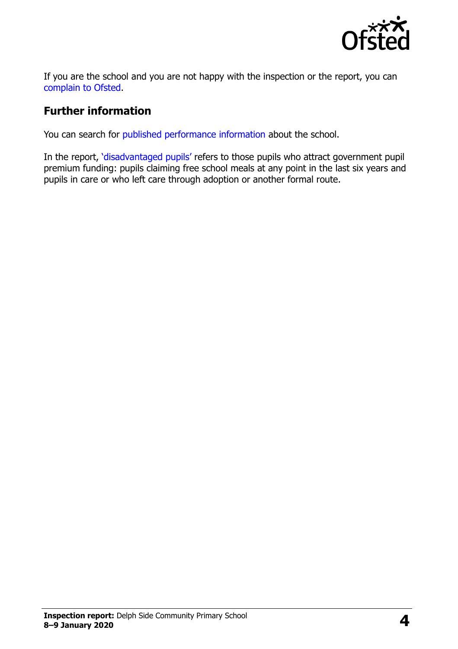

If you are the school and you are not happy with the inspection or the report, you can [complain to Ofsted.](https://www.gov.uk/complain-ofsted-report)

### **Further information**

You can search for [published performance information](http://www.compare-school-performance.service.gov.uk/) about the school.

In the report, '[disadvantaged pupils](http://www.gov.uk/guidance/pupil-premium-information-for-schools-and-alternative-provision-settings)' refers to those pupils who attract government pupil premium funding: pupils claiming free school meals at any point in the last six years and pupils in care or who left care through adoption or another formal route.

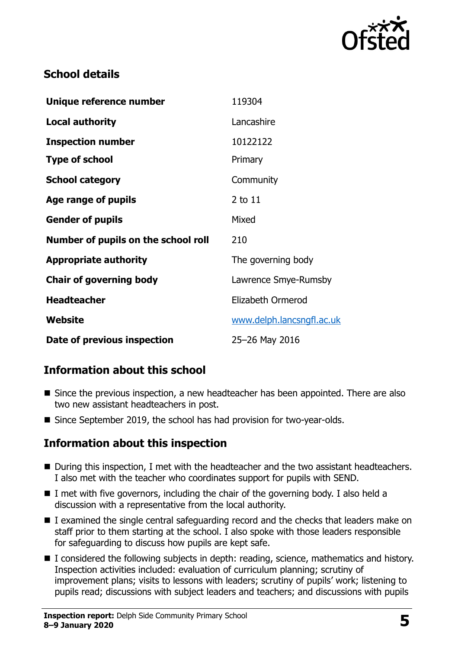

## **School details**

| Unique reference number             | 119304                    |
|-------------------------------------|---------------------------|
| <b>Local authority</b>              | Lancashire                |
| <b>Inspection number</b>            | 10122122                  |
| <b>Type of school</b>               | Primary                   |
| <b>School category</b>              | Community                 |
| Age range of pupils                 | $2$ to $11$               |
| <b>Gender of pupils</b>             | Mixed                     |
| Number of pupils on the school roll | 210                       |
| <b>Appropriate authority</b>        | The governing body        |
| <b>Chair of governing body</b>      | Lawrence Smye-Rumsby      |
| <b>Headteacher</b>                  | Elizabeth Ormerod         |
| Website                             | www.delph.lancsngfl.ac.uk |
| Date of previous inspection         | 25-26 May 2016            |

## **Information about this school**

- Since the previous inspection, a new headteacher has been appointed. There are also two new assistant headteachers in post.
- Since September 2019, the school has had provision for two-year-olds.

#### **Information about this inspection**

- During this inspection, I met with the headteacher and the two assistant headteachers. I also met with the teacher who coordinates support for pupils with SEND.
- $\blacksquare$  I met with five governors, including the chair of the governing body. I also held a discussion with a representative from the local authority.
- I examined the single central safeguarding record and the checks that leaders make on staff prior to them starting at the school. I also spoke with those leaders responsible for safeguarding to discuss how pupils are kept safe.
- I considered the following subjects in depth: reading, science, mathematics and history. Inspection activities included: evaluation of curriculum planning; scrutiny of improvement plans; visits to lessons with leaders; scrutiny of pupils' work; listening to pupils read; discussions with subject leaders and teachers; and discussions with pupils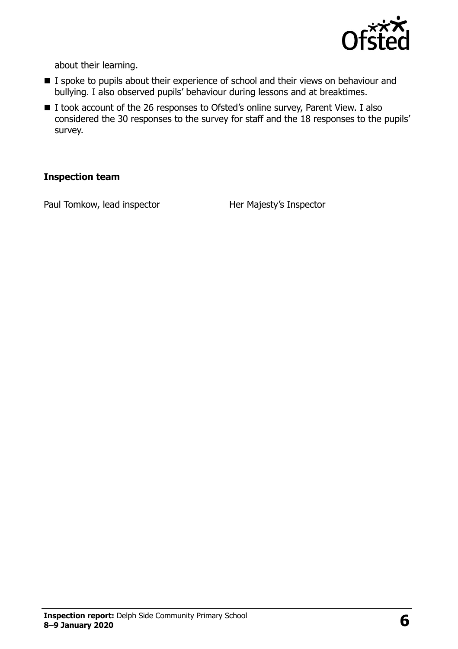

about their learning.

- I spoke to pupils about their experience of school and their views on behaviour and bullying. I also observed pupils' behaviour during lessons and at breaktimes.
- I took account of the 26 responses to Ofsted's online survey, Parent View. I also considered the 30 responses to the survey for staff and the 18 responses to the pupils' survey.

#### **Inspection team**

Paul Tomkow, lead inspector Her Majesty's Inspector